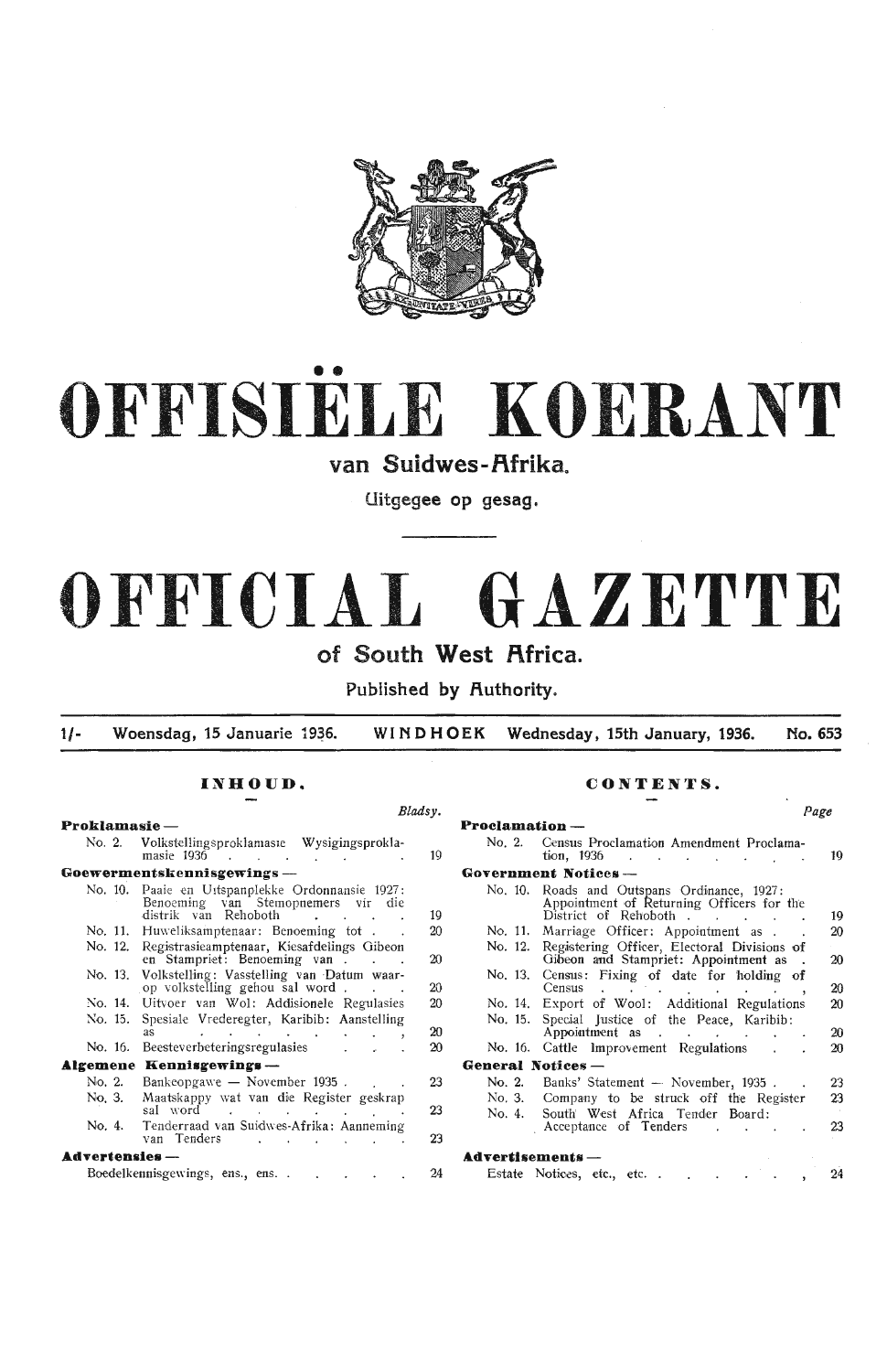

# •• **OFFISIELE KOERANT**

van Suidwes-Afrika.

**Uitgegee op gesag.** 

# **OFFICIAL GAZETTE**

# **of South West Africa.**

Published by Authority.

1/- Woensdag, 15 Januarie 1936. WINDHOEK Wednesday, 15th January, 1936. No. 653

#### $$ No. 2. Volkstd!ingsproklamas1e Wysigingsprokla- No. 2. Census Proclarnati.on Amendment Proclama- masie 1936 19 t1on, 1936 19 **Goewermentskennisgewings** - No. 10. Paaie en U1tspanplekke Ordonnansie 1927: Benoeming van Stemopnemers vir die distrik van Rehoboth No. 11. Huweliksamptenaar: Benoeming tot . No. 12. Registrasieamptenaar, Kiesafdelings Gibeon en Stampriet: Benoeming van . No. 13. Volkstelling: Vasstelling van Datum waar- op volkstelling gehou sal word . No. 14. Uitvoer van Wol: Addisionele Regulasies No. 15. Spesiale Vrederegter, Karibib: Aanstelling No. 16. Beesteverbeteringsregulasies **.&lgemene**  Kennisgewing■ - No. 2. Bankeopgawe — November 1935. No. 3. as Maatskappy \vat van die Register geskrap sal word No. 4. Tenderraad van Suidwes-Afrika: Aanneming van Tenders  $\mathbf{\mathbf{\mathbf{A}d}vertensies}$  -Boedelkennisgewings, ens., ens... 19 20 20 20 20  $20$ 20 23 23 23 24

## **INHOUD. CONTENTS.**

|                               | Bladsy. |                                                                                                                                                     | Page |
|-------------------------------|---------|-----------------------------------------------------------------------------------------------------------------------------------------------------|------|
|                               |         | <b>Proclamation</b> -                                                                                                                               |      |
| Ŀ.                            | 19      | No. 2.<br>Census Proclamation Amendment Proclama-<br>tion, 1936                                                                                     | 19   |
|                               |         | Government Notices --                                                                                                                               |      |
| e                             | 19      | No. 10.<br>Roads and Outspans Ordinance, 1927:<br>Appointment of Returning Officers for the<br>District of Rehoboth .                               | 19   |
|                               | 20      | Marriage Officer: Appointment as .<br>No. 11.                                                                                                       | 20   |
| n                             | 20      | Registering Officer, Electoral Divisions of<br>No. 12.<br>Gibeon and Stampriet: Appointment as                                                      | 20   |
| L.                            | 20      | Census: Fixing of date for holding of<br>No. 13.<br>Census                                                                                          | 20   |
| S                             | 20      | Export of Wool: Additional Regulations<br>No. 14.                                                                                                   | 20   |
| g<br>$\overline{\phantom{a}}$ | 20      | Special Justice of the Peace, Karibib:<br>No. 15.<br>Appointment as<br>$\sim 10^{-1}$<br>$\sim 10^{-10}$ km s $^{-1}$<br>$\mathcal{L}^{\text{max}}$ | 20   |
|                               | 20      | No. 16. Cattle Improvement Regulations                                                                                                              | 20   |
|                               |         | General Notices -                                                                                                                                   |      |
|                               | 23      | No. 2.<br>Banks' Statement - November, 1935.                                                                                                        | 23   |
| p                             | 23      | Company to be struck off the Register<br>No. 3.<br>South West Africa Tender Board:<br>No. 4.                                                        | 23   |
| g                             | 23      | Acceptance of Tenders<br><b>Contract Contract</b>                                                                                                   | 23   |
|                               |         | ${\bf A}$ dvertisements —                                                                                                                           |      |
|                               | 24      | Estate Notices, etc., etc                                                                                                                           | 24   |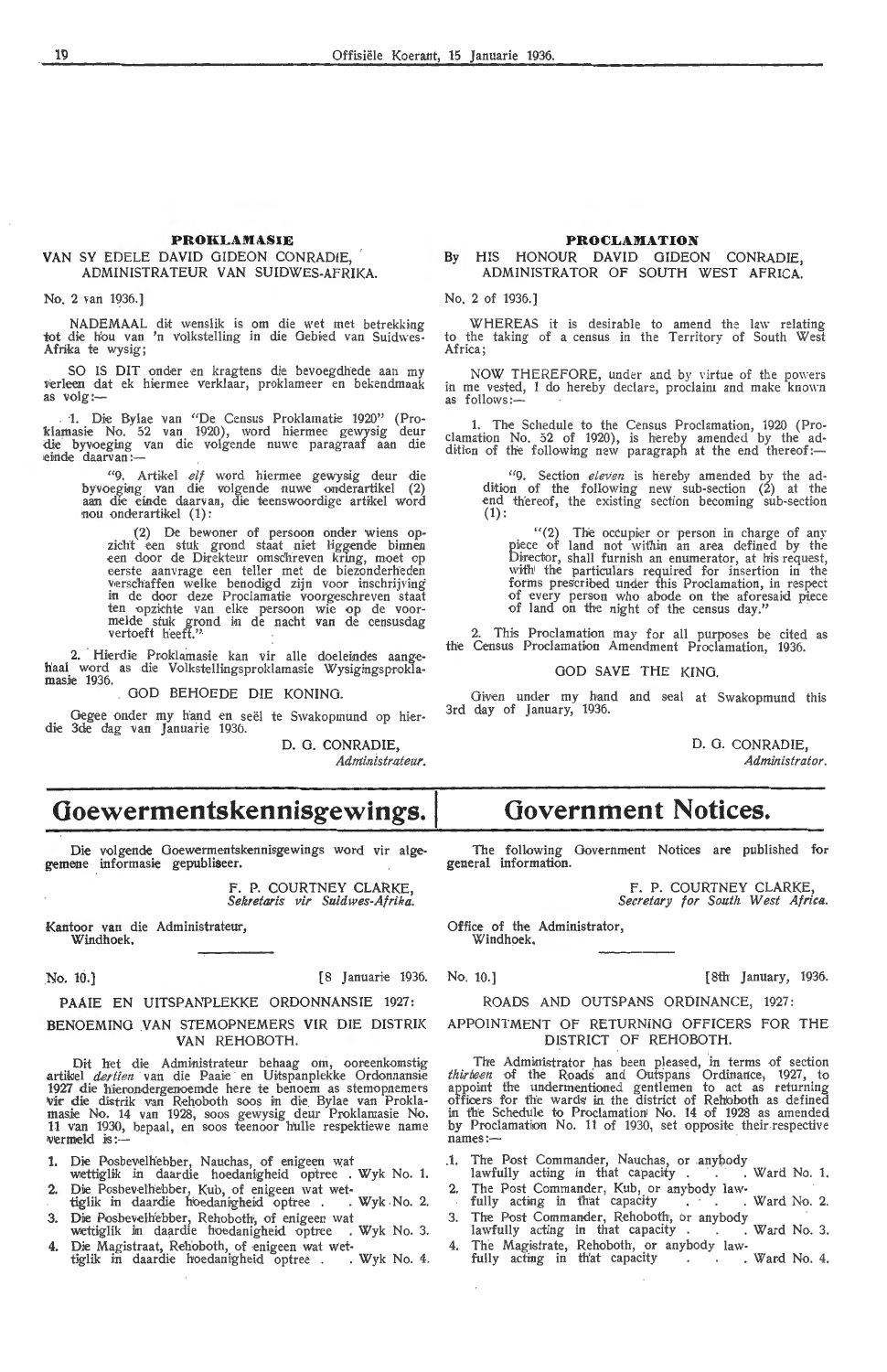#### PROKLAMASIE

## **VAN** SY EDELE DAVID GIDEON CONRADIE, ADMINISTRATEUR VAN SUIDWES-AFRIKA.

No. 2 van 1936.]

NADEMAAL dit wenslik is om die wet met betrekking tot die hou van 'n volkstelling in die Gebied van Suidwes-Afrika te wysig;

SO IS DIT onder en kragtens die bevoegdhede aan my verleen dat ek hiermee verklaar, proklameer en bekendmaak as volg:-

1. Die Bylae van "De Census Proklamatie 1920" (Pro-<br>klamasie No. 52 van 1920), word hiermee gewysig deur die byvoeging van die volgende nuwc paragraaf aan die einde daarvan :-

"9. Artikel *elf* word hiermee gewysig deur die byvoeging van die volgende nuwe onderartikel (2) aan die e inde daarvan, die teenswoordige artikel word nou onderartikel (1):

(2) De bewoner of persoon onder wiens op-<br>zicht een stuk grond staat niet liggende binnen<br>een door de Direkteur omschreven kring, moet op zicht een stuk grond staat niet liggende binnen<br>een door de Direkteur omsc'hreven kring, moet op<br>eerste aanvrage een teller met de biezonderheden<br>verschaffen welke benodigd zijn voor inschrijving in de door deze Proclamatie voorgeschreven staat ten opzichte van elke persoon wie op de voor-<br>melde stuk grond in de nacht van de censusdag<br>vertoeft heeft."

2. Hierdie Proklamasie kan vir alle doeleindes aange-**'haal word as die Volkstellingsproklamasie Wysigingsprokla**masie 1936.

GOD BEHOEDE DIE KONING.

Gegee onder my hand en seël te Swakopmund op hierdie 3de dag van Januarie 1936.

**D. G. CONRADIE,**   $Administrateur.$ 

# **Goewermentskennisgewings.**

**Die** volgende Goewermentskennisgewings word vir algegemene informasie gepubliseer.

> F. P. COURTNEY CLARKE, *Sekretaris vir Suidwes-Afrika.*

Kantoor van die Administrateur, Windhoek,

No. 10.] [8 Januarie 1936.

#### **PAAIE** EN UITSPANPLEKKE ORDONNANSIE 1927:

#### BENOEMING VAN STEMOPNEMERS VIR DIE DISTRIK VAN REHOBOTH.

Dit het die Administrateur behaag om, ooreenkomstig artikel *dertien* van die Paaie en Uitspanplekke Ordonnansie 1927 die hierondergenoemde here te benoem as stemopnemers vir die distrik van Rehoboth soos in die Bylae van Proklamasie No. 14 van 1928, soos gewysig deur Proklamasie No.<br>11 van 1930, bepaal, en soos teenoor hulle respektiewe name<br>wermeld is:-

Die Posbevelhebber, Nauchas, of enigeen wat

- wettiglik in daardie hoedanigheid optree . Wyk No. 1. 2. Die Posbevelhebber, Kub, of enigeen wat wet-
- tiglik in daardie hoedanigheid optree . Wyk No. 2. 3. Dire Posbevelh'ebber, Rehobeth, of enigeen wat
- wettiglik in daardie hoedanigheid optree . Wyk No. 3.
- 4. Die Magistraat, Rehoboth, of enigeen wat wet-<br>tiglik in daardie hoedanigheid optree . . Wyk No. 4.

#### **PROCLAMATION**

By HIS HONOUR DAVID GIDEON CONRADIE, ADMINISTRATOR OF SOUTH WEST AFRICA.

No. 2 of 1936.]

WHEREAS it is desirable to amend the law relating<br>to the taking of a census in the Territory of South West<br>Africa;

NOW THEREFORE, under and by virtue of the powers in me vested, I do hereby declare, proclaim and make known as follows:--

1. The Schedule to the Census Proclamation, 1920 (Proclamation No. 52 of 1920), is hereby amended by the ad-<br>dition of the following new paragraph at the end thereof:—

"9. Section *eleven* is hereby amended by the addition of the following new sub-section (2) at the end thereof, the existing section becoming sub-section (1):

"(2) The occupier or person in charge of any<br>piece of land not within an area defined by the Director, shall furnish an enumerator, at his request, with the particulars required for insertion in the forms prescribed under this Proclamation, in respect of every person who abode on the aforesaid piece of land on the night of the census day."

2. This Proclamation may for all purposes be cited as the Census Proclamation Amendment Proclamation, 1936.

#### GOD SAVE THE KING.

Given under my hand and seal at Swakopmund this 3rd day of January, 1936.

> D. 0. CONRADIE, *Administrator.*

# **Government Notices.**

The following Government Notices are published for general information.

F. P. COURTNEY CLARKE,<br>Secretary for South West Africa.

Office of the Administrator, Windhoek.

No. 10.] [8th January, 1936.

#### ROADS AND OUTSPANS ORDINANCE, 1927: APPOINTMENT Of RETURNING OFFICERS FOR THE DISTRICT OF REHOBOTH.

The Administrator has been pleased, in terms of section *thirbeen* of the Roads and Outspans Ordinance, 1927, to appoint the undermentioned gentlemen to act as returning officers for the wards in the district of Rehoboth as defined in the Schedule to Proclamation No. 14 of 1928 as amended by Proclamation No. 11 of 1930, set opposite their respective names:-

.1. The Post Commander, Nauchas, or anybody

- lawfully acting in that capacity  $\cdots$  . Ward No. 1. 2. The Post Commander, Kub, or anybody law
- fully acting in that capacity . . . Ward No. 2. 3. The Post Commander, Rehoboth, or anybody
- lawfully acting in that capacity . . . Ward No. 3. 4. The Magistrate, Rehoboth, or anybody law fully acting in th'at capacity . . . Ward No. 4.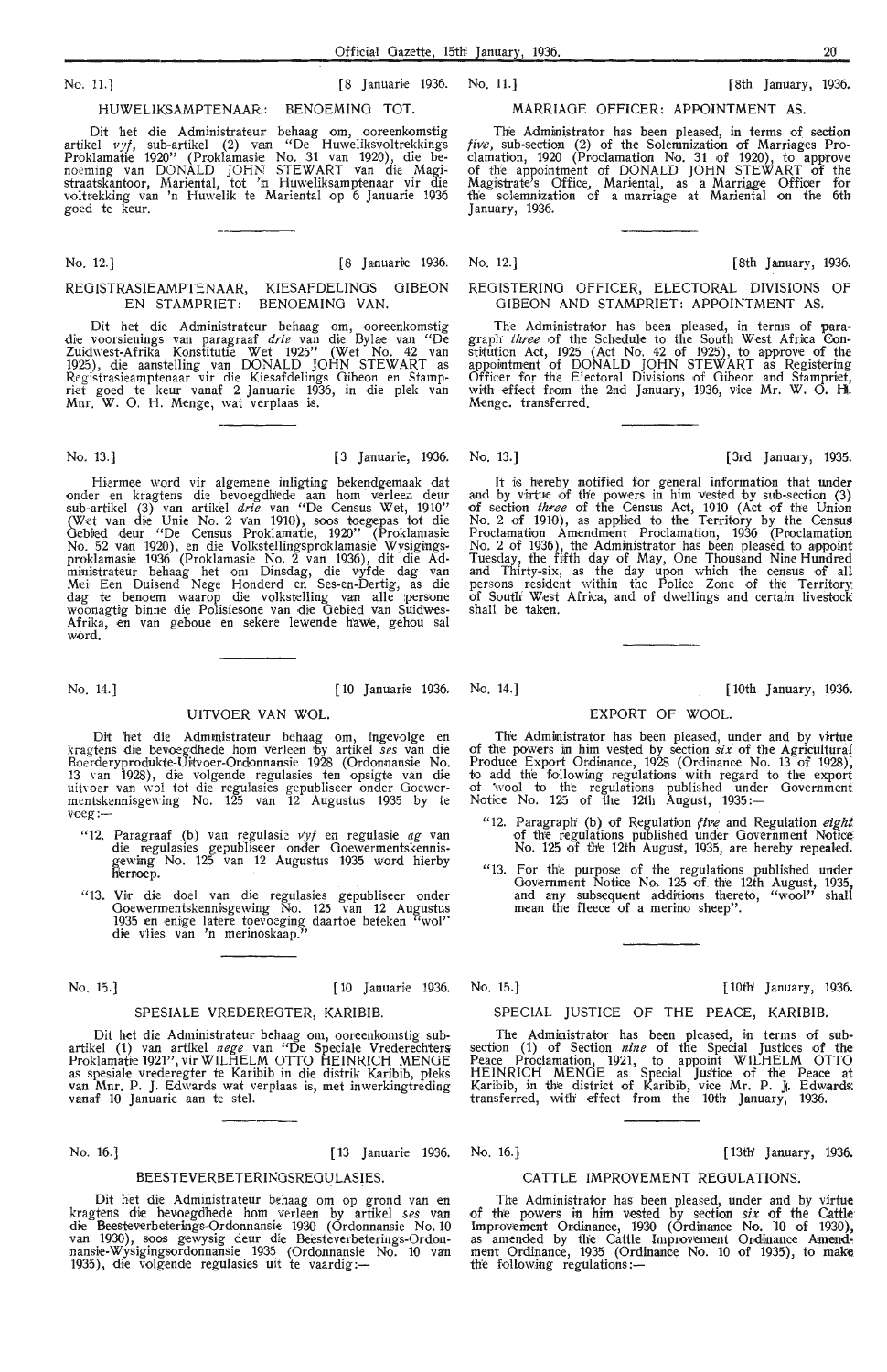#### HUWELIKSAMPTENAAR : BENOEMING TOT.

Dit het die Administrateur behaag om, ooreenkomstig artikel *vyf*, sub-artikel (2) van "De Huweliksvoltrekkings Proklamatie 1920'' (Proklamasie No. 31 van 1920), die benoeming van DONALD JOHN STEW ART van die Magistraatskantoor, Mariental, tot 'n Huweliksamptenaar vir die voltrekking van 'n Huwelik te Mariental op 6 Januarie 1936 goed te keur.

No. 12.]

#### [8 Januarie 1936.

#### REGISTRASIEAMPTENAAR, KIESAFDELINGS GIBEON EN STAMPRIET: BENOEMING **VAN.**

Dit het die Administrateur behaag om, ooreenkomstig<br>die voorsienings van paragraaf *drie* van die Bylae van "De Zuidwest-Afrika Konstitutie Wet 1925'' (Wet No. 42 van<br>1925), die aanstelling van DONALD JOHN STEWART as<br>Registrasieamptenaar vir die Kiesafdelings Gibeon en Stampriet goed te keur vanaf 2 Januarie 1936, in die plek van<br>Mnr. W. O. H. Menge, wat verplaas is.

Hiermee word vir algemene inligting bekendgemaak dat onder en kragtens die bevoegdhede aan hom verleen deur sub-artikel (3) van artikel *drie* van "De Census Wet, 1910" (Wet van die Unie No. 2 van 1910), soos toegepas tot die Gebied deur "De Census Proklamatie, 1920" (Proklamasie No. 52 van 1920), en die Volkstellingsproklamasie Wysigingsproklamasie 1936 (Proklamasie No. 2 van 1936), dit die Administrateur behaag het om Dinsdag, die vyfde dag van<br>Mei Een Duisend Nege Honderd en Ses-en-Dertig, as die dag te benoem waarop die volkstelling van alle persone woonagtig binne die Polisiesone van die Gebied van Suidwes-Afrika, en van geboue en sekere lewende hawe, gehou sal word.

## UITVOER **VAN WOL.**

Dit het die Adm1nistrateur behaag om, ingevolge en kragtens die bevoegdhede horn Verleen 1by artikel *ses* van die Boerderyprodukte-Uitvoer-Ordonnansie 1928 (Ordonnansie No. 13 van 1928), die volgende regulasies ten opsigte van die<br>uitvoer van wol tot die regulasies gepubliseer onder Goewermentskennisgewing No. 1 $\overline{25}$  van  $\overline{12}$  Augustus 1935 by te voeg:-

- "12. Paragraaf (b) van regulasie *vyf* en regulasie *ag* van<br>die regulasies gepubliseer onder Goewermentskennisgewing No. 125 van 12 Augustus 1935 word hierby  $h$ erroep.
- "13. Vir die doel van die regulasies gepubliseer onder Goewermentskennisgewing  $\bar{N}$ o. 125 van 12 Augustus 1935 en enige latere toevoeging daartoe beteken "wol'' die vlies van 'n merinoskaap."

No. 15.] [10 Januari,e 1936. No. 15.] [10th' January, 1936.

#### SPESIALE VREDEREGTER, KARIBIB.

Dit het die Administrateur behaag om, ooreenkomstig subartikel (1) van artikel *nege* van "De Speciale Vrederechters Proklamatie 1921", vir WILHELM OTTO HEINRICH MENGE en someratie vrederegter te Karibib in die distrik Karibib, pleks van Mnr. P. J. Edwards wat verplaas is, met inwerkingtreding vanaf 10 Januarie aan te stel.

#### BEESTEVERBETERINGSREGULASIES.

Dit het die Administrateur bi:haag om op grond van en kragtens die bevoegdhede horn verleen by artikel *ses* van die Beesteverbeterings-Ordonnansie 1930 (Ordonnansie No. 10<br>van 1930), soos gewysig deur die Beesteverbeterings-Ordonnansie-Wysigingsordonnansie 1935 (Ordonnansie No. 10 van<br>1935), die volgende regulasies uit te vaardig:--

### No. 11.] [8 Januarie 1936. No. 11.] [8th January, 1936.

#### MARRIAGE OFFICER: APPOINTMENT AS.

The Administrator has been pleased, in terms of section *five*, sub-section (2) of the Solemnization of Marriages Proclamation, 1920 (Proclamation No. 31 of 1920), to approve of the appointment of DONALD JOHN STEWART of the Magistrate's Office, Mariental, as a Marriage Officer for the solemnization of a marriage at Mariental on the 6th January, 1936.

No. 12.] [8th January, 1936.

#### REGISTERING OFFICER, ELECTORAL DIVISIONS OF GIBEON AND STAMPRIET: APPOINTMENT AS.

The Administrator has been pleased, in terms of paragraph *three* of the Schedule to the South West Africa Constitution Act,  $1925$  (Act No. 42 of 1925), to approve of the appointment of DONALD JOHN STEW ART as Registering Officer for the Electoral Divisions of Gibeon and Stampriet, with effect from the 2nd January, 1936, vice **Mr. W.** 0. **H.**  Menge. transferred.

It is hereby notified for general information that under and by virtue of the powers in him vested by sub-section (3) of section *three* of the Census Act, 1910 (Act of the Union No. 2 of 1910), as applied to the Territory by the Census Proclamation Amendment Proclamation, 1936 (Proclamation No. 2 of 1936), the Administrator has been pleased to appoint Tuesday, the fifth day of May, One Thousand Nine Hundred and Thirty-six, as the day upon which the oensus of all persons resident within the Police Zone of the Territory: of South West Africa, and of dwellings and certain livestock shall be taken.

No. 14.] [10 Januari<e 1936. No. 14.] [ 10th January, 1936.

EXPORT OF WOOL.

# The Administrator has been pleased, under and by virtue of the powers in him vested by section *six* of the Agricultural Produce Export Ordinance, 1928 (Ordinance No. 13 of 1928), to add the following regulations with regard to the export of wool to the regulations published under Government<br>Notice No. 125 of the 12th August, 1935:—

- "12. Paragraph' (b) of Regulation *five* and Regulation *eight*. of the regulations published under Government Notice<br>No. 125 of the 12th August, 1935, are hereby repealed.
- "13. For th:e purpose of the . regulations published under Government Notice No. 125 of the 12th August, 1935, and any subsequent additions thereto, "wool" shall mean the fleece of a merino sheep".

#### SPECIAL JUSTICE OF THE PEACE, KARIBIB.

The Administrator has been pleased, in terms of subsection (1) of Section *nine* of the Special Justices of the Peace Proclamation, 1921, to appoint WILHELM OTTO HEINRICH MENGE as Special Justice of the Peace at Karibib, in the district of Karibib, vice Mr. P. J. Edwards: transferred, with' effect from the 10th January, 1936.

#### No. 16.] [13 Januarie 1936. No. 16.] [ 13th' January, 1936. [ 13th' January, 1936.

#### CATTLE IMPROVEMENT REGULATIONS.

The Administrator has been pleased, under and by virtue<br>of the powers in him vested by section *six* of the Cattle<br>Improvement Ordinance, 1930 (Ordinance No. 10 of 1930),<br>as amended by the Cattle Improvement Ordinance Amen ment Ordinance, 1935 (Ordinance No. 10 of 1935), to make the following regulations:-

#### No. 13.] [3 Januari•e, 1936. No. 13.] [3rd January, 1935.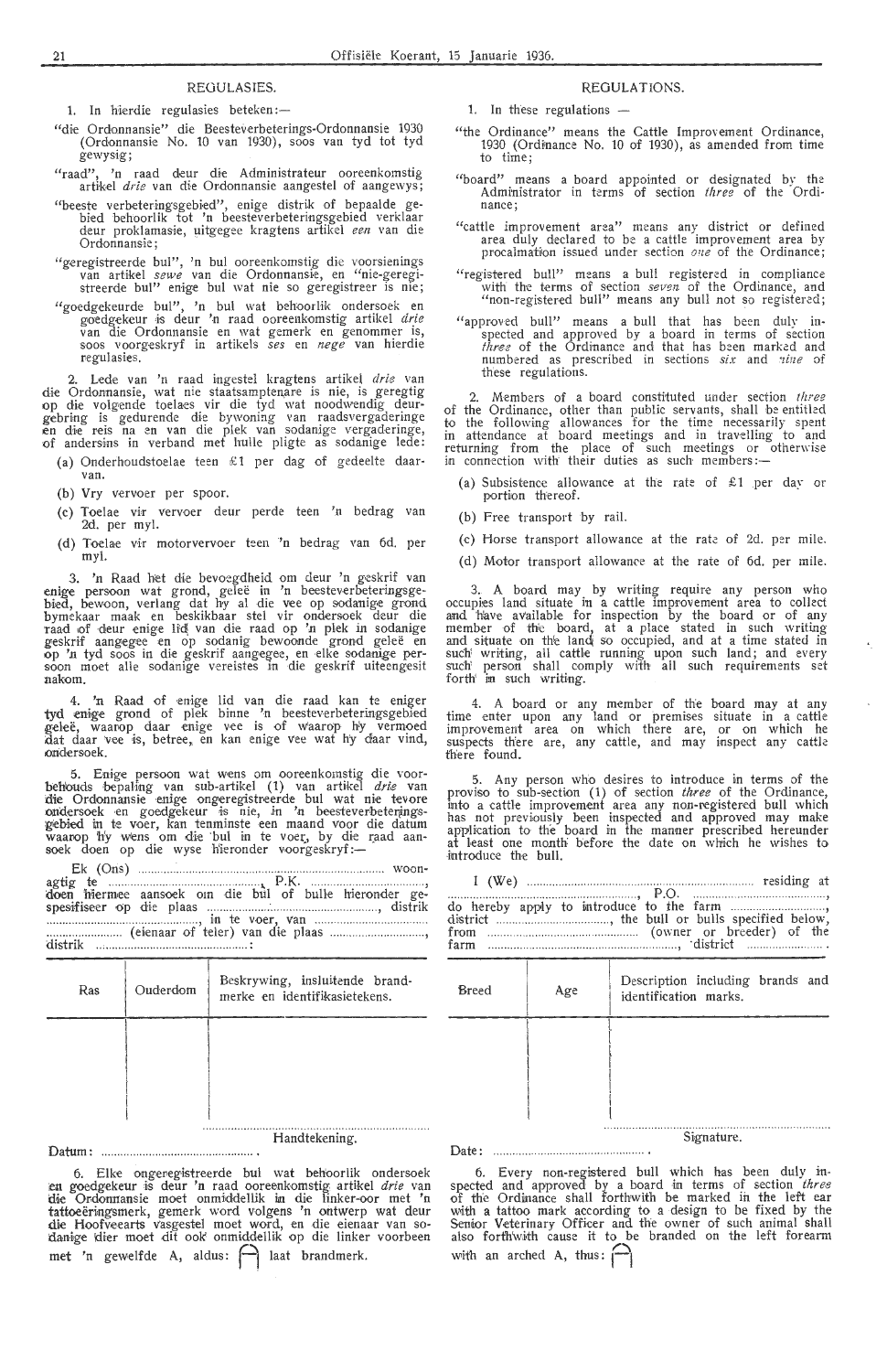#### REOULASIES.

1. In hierdie regulasies beteken:-

- "die Ordonnansie" die Beesteverbeterings-Ordonnansie 1930 (Ordonnansie No. 10 van 1930), soos van tyd tot tyd gewysig;
- "raad", 'n raad deur die Administrateur ooreenkomstig artikel *drie* van die Ordonnansie aangestel of aangewys;
- "beeste verbeteringsgebied", enige distrik of bepaalde gebied behoorlik tot 'n beesteverbeteringsgebied verklaar deur proklamasie, uitgegee kragtens artikel *een* van die<br>Ordonnansie;
- "geregistreerde bul", 'n bul ooreenkomstig die voorsienings<br>van artikel *sewe* van die Ordonnansie, en "nie-geregistreerde bul" enige bul wat nie so geregistreer is nie;
- "goedgekeurde bul", 'n bul wat behoorlik ondersoek en goedgekeur is deur 'n raad ooreenkomstig artikel *drie* van die Ordonnansie en wat gemerk en genommer is, soos voorgeskryf in artikels *ses* en *nege* van hierdie regulasies.

2. Lede van 'n raad ingestel kragtens artikel *drie* van die Ordonnansie, wat nie staatsampten.ar•e is nie, is geregtig op die volgende toelaes vir die tyd wat noodwendig deur-<br>gebring is gedurende die bywoning van raadsvergaderinge en die reis na en van die plek van sodanige vergaderinge,<br>of andersins in verband met hulle pligte as sodanige lede:

- (a) Onderhoudstoelae teen £1 per dag of gedeelte daar-
- (b) Vry vervoer per spoor.
- (c) Toelae vir vervoer deur perde teen 'n bedrag van 2d. per myl.
- (d) Toelae vir motorvervoer teen 'n bedrag van 6d. per my!.

3. 'n Raad het die bevoegdheid om deur 'n geskrif van enige persoon wat grond, geleë in 'n beesteverbeteringsgebied, bewoon, verlang dat hy al die vee op sodanige grond bymekaar maak en beskikbaar stel vir ondersoek deur die<br>raad of deur enige lid\ van die raad op 'n plek in sodanige geskrif aangegee en op sodanig bewoonde grond geleë en op 'n tyd soos in die geskrif aangegee, en elke sodanige per-<br>soon moet alle sodanige vereistes in die geskrif uiteengesit nakom.

4. 'n Raad of enige lid van die raad kan te eniger tyd enige grond of plek binne 'n beesteverbeteringsgebied geleë, waarop daar enige vee is of waarop hy vermoed dat daar vee is, betree, en kan enige vee wat hy daar vind, ondersoek. ·

5. Enige persoon wat wens om ooreenkomstig die voor-<br>behouds bepaHng van sub-artikel (1) van artikel *drie* van<br>die Ordonnansie enige ongeregistreerde bul wat nie tevore ondersoek en goedgekeur is nie, in 'n beesteverbeterings-<br>gebied in te voer, kan tenminste een maand voor die datum waarop hy wens om di-e 'bu! in te voet, by die r\_aad aan- soek doen op d-~e wyse Hieronder v,oorg-eskryf :-

Ek (Oris) ............................... , .................................... woon• ~~~; ~:erm,~~ ... ~~~~~~k··· ·~;~ ·· di"~· .. btil PJ· bulle hierond~~ g~~ spesifiseer op di,e plaas ......... .. ........ :...................... .. . . , distrik :::\_:::::::::::::::::::::· c~i,;~·~~;-~i' t~~rt v~~ect'ie v;1a~~ ·:::::: ........ .......... .. , d1stnk .. , .. .................. .. ... ............. ..... .. :

| Ras | Ouderdom | Beskrywing, insluitende brand-<br>merke en identifikasietekens. |
|-----|----------|-----------------------------------------------------------------|
|     |          |                                                                 |
|     |          |                                                                 |
|     |          |                                                                 |

Handtekening.

Datum: ............... ............. ... ... ............. .

6. Elke onger-eg·istreerde bul wat behoorlik ondersoek u goedgekeur -is deur 'n raad ooreenkomstig artikel *drie* van cl.ie Or.donuansie moet onmiddellik in die linker-oor met 'n tattoeëringsmerk, gemerk word volgens 'n ontwerp wat deur die Hoofveearts vasgestel moet word, en die eienaar van so-<br>danige klier moet dit ook onmiddellik op die linker voorbeen met 'n gewelfde A, aldus:  $\bigcap$  laat brandmerk.

#### REGULATIONS.

1. In these regulations -

- "the Ordinance" means the Cattle Improvement Ordinance, 1930 (Ordinance No. 10 of 1930), as amended from time<br>to time;
- "board" means a board appointed or designated by the Administrator in terms of section *three* of the Ordinance;
- "cattle improvement area" means any district or defined area duly declared to be a cattle improvement area by procalmation issued under section *one* of the Ordinance;
- "registered bull" means a bull registered in compliance with the terms of section seven of the Ordinance, and "non-registered bull" means any bull not so registered;
- "approved bull" means a bull that has been duly inspected and approved by a board in terms of section *three* of the Ordinance and that has been marked and numbered as prescribed in sections *six* and *nine* of these regulations.

2. Members of a board constituted under section *three*  of the Ordinance, other than public servants, shall be entitled to the following allowances for the time necessarily spent in attendance at board meetings and in travelling to and returning from the place of such meetings or otherwise<br>in connection with their duties as such members:—

- (a) Subsistence allowance at the rate of  $$1$  per day or portion thereof.
- (b) Free transport by rail.
- (c) Horse transport allowance at the rate of 2d. per mile.
- (d) Motor transport allowance at the rate of 6d. per mile.

3.. A board may by writing require any person who occupies land situate in a cattle improvement area to collect and have available for inspection by the board or of any member of the board, at a place stated in such writing and situate on the land so occupied, and at a time stated in such writing, all cattle running upon such land; and every such' person shall comply with all such requirements set forth' in such writing.

4. A board or any member of the board may at any time enter upon any land or premises situate in a cattle improvement area on which there are, or on which he suspects there are, any cattle, and may inspect any cattle there found.

5. Any person who desires to introduce in terms of the proviso to sub-section (1) of section *three* of the Ordinance, into a cattle improvement area any non-registered bull which<br>has not previously been inspected and approved may make application to the board in the manner prescribed hereunder at least one month before the date on which he wishes to introduce the bull.

| Breed  | Age | Description including brands and<br>identification marks. |  |  |  |
|--------|-----|-----------------------------------------------------------|--|--|--|
|        |     |                                                           |  |  |  |
|        |     |                                                           |  |  |  |
|        |     | Signature.                                                |  |  |  |
| Date : |     |                                                           |  |  |  |

6. Every non-registered bull which has been duly in-<br>spected and approved by a board in terms of section *three*<br>of the Ordinance shall forthwith be marked in the left ear with a tattoo mark according to a design to be fixed by the Senior Veterinary Officer and the owner of such animal shall also forthwith cause it to be branded on the left forearm with an arched  $A$ , thus:  $\bigcap$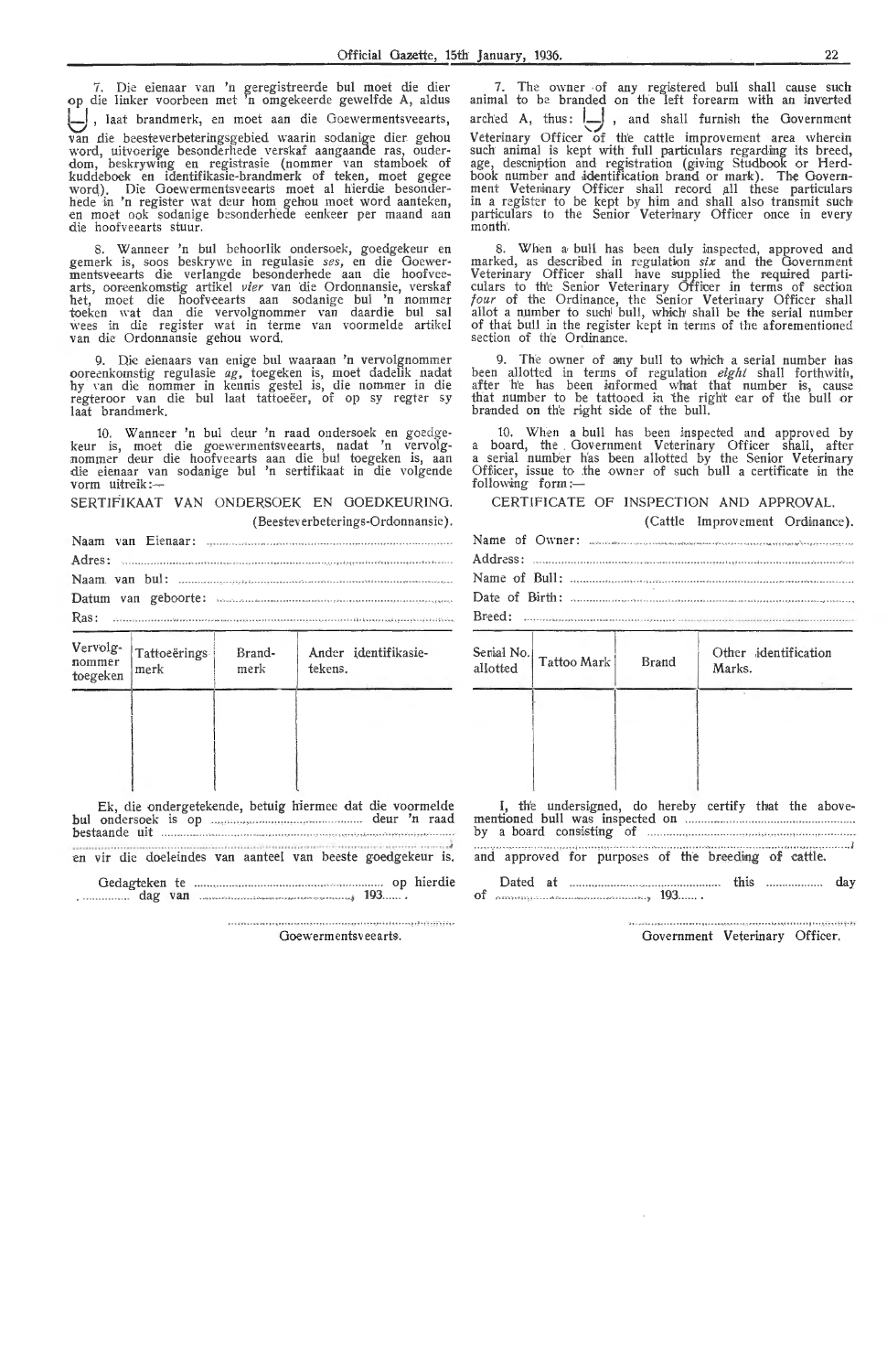7. Die eienaar van 'n geregistreerde bul moet die dier op die linker voorbeen met 'n omgekeerde gewelfde A, aldus I\_I , laat brandmerk, en moet aan die Ooewermentsveearts, van die beesteverbeteringsgebied waarin sodanige dier gehou word, uitvoerige besonderhede verskaf aangaande ras, ouderdom, beskrywing en registrasie (nommer van stamboek of kuddeboek en identifikasie-brandmerk of teken, moet gegee word). Die Goewermentsveearts moet al hierdie besonder-<br>hede in 'n register wat deur hom gehou moet word aanteken, en moet ook sodanige besonderhede eenkeer per maand aan die hoofveearts stuur.

8. Wanneer 'n bul behoorlik ondersoek, goedgekeur en gemerk is, soos beskrywe in regulasie *ses,* en die Goewermentsveearts die verlangde besonderhede aan die hoofvee-<br>arts, ooreenkomstig artikel *vier* van die Ordonnansie, verskaf het, moet die hoofveearts aan sodanige bul 'n nommer<br>toeken wat dan die vervolgnommer van daardie bul sal wees in die register wat in terme van voormelde artikel van die Ordonnansie gehou word.

9. Die eienaars van enige bul waaraan 'n vervolgnommer oorecnkomstig regulasie *ag,* toegeken is, moet dadelik nadat hy van die nommer in kennis gestel is, die nommer in die regteroor van die bul laat tattoeëer, of op sy regter sy laat brandmerk.

10. W anneer 'n bul deur 'n raad ondersoek en goedgekeur is, moet die goewermentsveearts, nadat 'n vervolgnommer deur die hoofveearts aan die bul toegeken is, aan die eienaar van sodanige bul 'n sertifikaat in die volgende vorm uitreik:-

SERTIFIKAAT VAN ONDERSOEK EN GOEDKEURING. ( Beestev erbeterings-Ordonnansie).

|  |                                                                                                                                                                                                                                      | $Adres:$ with the commutation of the commutation of the commutation of the commutation of $Adres:$ |
|--|--------------------------------------------------------------------------------------------------------------------------------------------------------------------------------------------------------------------------------------|----------------------------------------------------------------------------------------------------|
|  |                                                                                                                                                                                                                                      |                                                                                                    |
|  |                                                                                                                                                                                                                                      | Datum van geboorte: www.autonomium.com/autonomium.com/autonomium.                                  |
|  |                                                                                                                                                                                                                                      |                                                                                                    |
|  | <u>The company of the company of the company of the company of the company of the company of the company of the company of the company of the company of the company of the company of the company of the company of the company</u> |                                                                                                    |

| Vervolg-<br>nommer<br>toegeken | Tattoeërings<br>merk | Brand-<br>merk | Ander identifikasie-<br>tekens. |
|--------------------------------|----------------------|----------------|---------------------------------|
|                                |                      |                |                                 |
|                                |                      |                |                                 |
|                                |                      |                |                                 |

Ek, die ondergetekende, betuig hiermee dat die voormelde bu! ondersoek is op ................ .................... . ... . ... deur 'n raad bestaande uit ...................... .. .

.... • ,.. . ····· ········ ·· ·····••· . •··•· ••••· ..... ..•• ........• J en vir die doeleindes van aanteel van beeste goedgekeur is.

Oedagteken te ........ .... .. .. ..... .. op hierdie Dated at this ...... ... ... . day . .... dag van ....................... . . ........ , 193 of , 193 ..

7. The owner of any registered bull shall cause such animal to be branded on the left forearm with an inverted arched A, thus:  $\Box$ , and shall furnish the Government Veterinary Officer of the cattle improvement area wherein such animal is kept with full particulars regarding its breed, age, descniption and registration (giving Studbook or Herdbook number and identification brand or mark). The Govern-<br>ment Veteninary Officer shall record all these particulars in a register to be kept by him and shall also transmit such particulars to the Senior Veterinary Officer once in every month'.

8. When a, bull has been duly inspected, approved and marked, as described in regulation *six* and the Government Veterinary Officer shall have supplied the required parti-<br>culars to the Senior Veterinary Officer in terms of section *four* of the Ordinance, the Senior Veterinary Officer shall allot a number to such bull, which shall be the serial number of that bull in the register kept in terms of the aforementioned section of the Ordinamce.

9. The owner of any bull to which a serial number has<br>been allotted in terms of regulation *eight* shall forthwith,<br>after he has been informed what that number is, cause<br>that number to be tattooed in the right ear of the

10. When a bull has been inspected and approved by a board, the . Government Vet-e rinary Officer shall, after a serial number has been allotted by the Senior Veterinary Officer, issue to the owner of such bull a certificate in the following form: $-$ 

CERTIFICATE OF INSPECTION AND APPROVAL.

(Cattle Improvement Ordinance).

|                          | Name of Owner: aconsecutive consequence of the content of the content of the content of the content of the content of the content of the content of the content of the content of the content of the content of the content of |
|--------------------------|--------------------------------------------------------------------------------------------------------------------------------------------------------------------------------------------------------------------------------|
|                          |                                                                                                                                                                                                                                |
|                          |                                                                                                                                                                                                                                |
|                          |                                                                                                                                                                                                                                |
| $S}_{\text{initial No}}$ | Other identification                                                                                                                                                                                                           |

| Serial No.<br>allotted | Tattoo Mark | Brand | Other identification<br>Marks. |
|------------------------|-------------|-------|--------------------------------|
|                        |             |       |                                |
|                        |             |       |                                |
|                        |             |       |                                |

I, the undersigned, do hereby certify that the abovementioned bull was inspected on *manufacture contained* 

by a board consisting of

Goewermentsveearts. The contraction of the Government Veterinary Officer.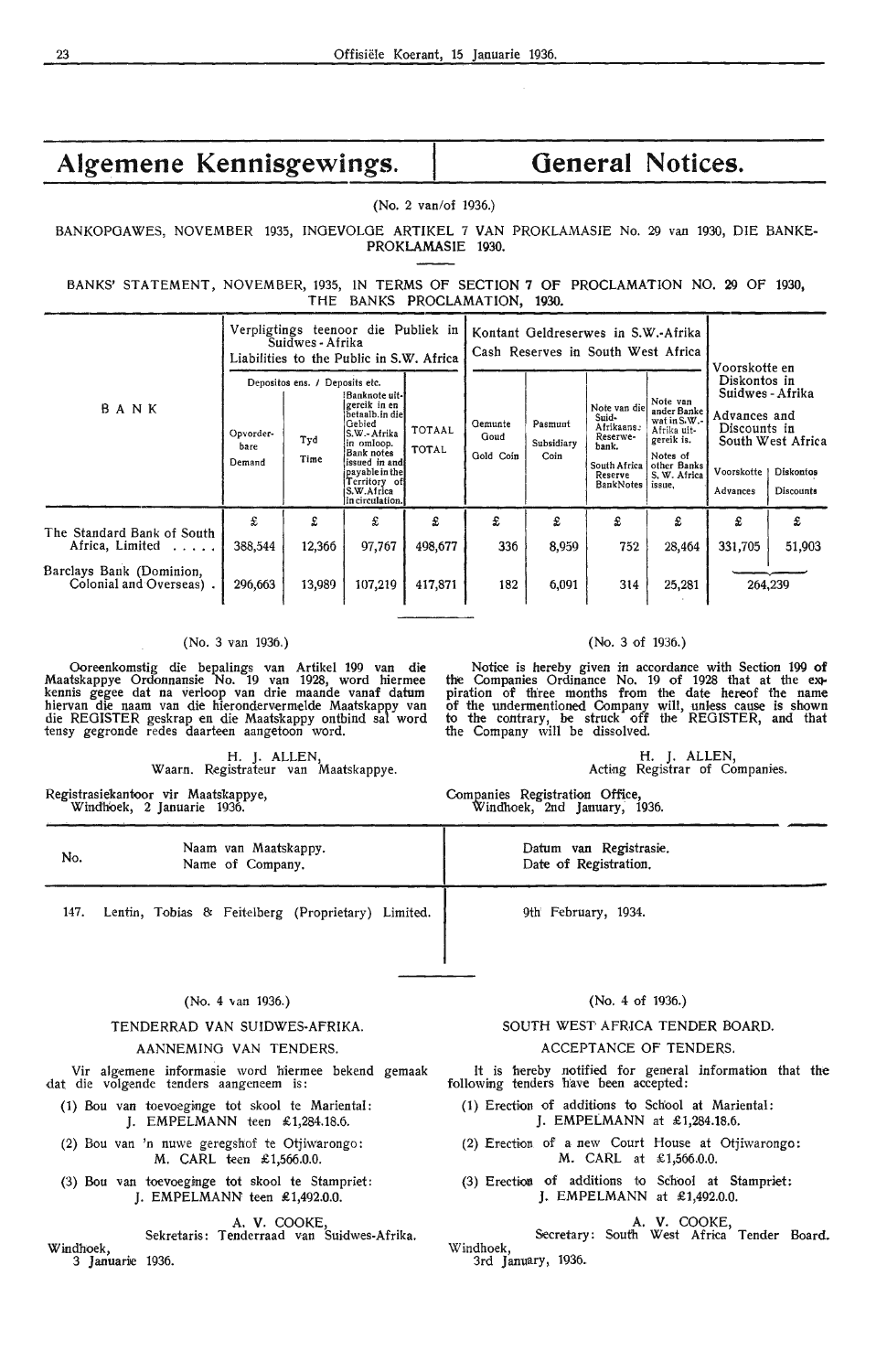BANKOPGAWES, NOVEMBER 1935, INGEVOLGE ARTIKEL 7 VAN PROKLAMASIE No. 29 van 1930, DIE BANKE-PROKLAMASIE 1930.

BANKS' STATEMENT, NOVEMBER, 1935, IN TERMS OF SECTION 7 OF PROCLAMATION NO. 29 OF 1930, THE BANKS **PROCLAMATION, 1930.** 

|                                                                                                      | Verpligtings teenoor die Publiek in<br>Suidwes - Afrika<br>Liabilities to the Public in S.W. Africa |                                               |                                                                                                                                                                                              | Kontant Geldreserwes in S.W.-Afrika<br>Cash Reserves in South West Africa |                              |                               | Voorskotte en                                                                                    |                                                                                                                           |                                                                                                                                           |             |
|------------------------------------------------------------------------------------------------------|-----------------------------------------------------------------------------------------------------|-----------------------------------------------|----------------------------------------------------------------------------------------------------------------------------------------------------------------------------------------------|---------------------------------------------------------------------------|------------------------------|-------------------------------|--------------------------------------------------------------------------------------------------|---------------------------------------------------------------------------------------------------------------------------|-------------------------------------------------------------------------------------------------------------------------------------------|-------------|
| BANK                                                                                                 | Opvorder-<br>bare<br>Demand                                                                         | Depositos ens. / Deposits etc.<br>Tyd<br>Time | !Banknote uit-l<br>gereik in en<br>betaalb.in diel<br>Gebied<br>S.W.-Afrika<br>in omloop.<br>Bank notes<br>issued in and<br>payable in the<br>Territory of<br>S.W.Africa<br>lin circulation. | TOTAAL<br><b>TOTAL</b>                                                    | Gemunte<br>Goud<br>Gold Coin | Pasmunt<br>Subsidiary<br>Coin | Note van die<br>Suid-<br>Afrikaans.<br>Reserwe-<br>bank.<br>South Africa<br>Reserve<br>BankNotes | Note van<br>ander Banke<br>wat in S.W.-<br>Afrika uit-<br>gereik is.<br>Notes of<br>other Banks<br>S. W. Africa<br>issue, | Diskontos in<br>Suidwes - Afrika<br>Advances and<br>Discounts in<br>South West Africa<br>Voorskotte<br>Diskontos<br>Advances<br>Discounts |             |
| The Standard Bank of South<br>Africa, Limited<br>Barclays Bank (Dominion,<br>Colonial and Overseas). | £<br>388,544<br>296,663                                                                             | £<br>12,366<br>13,989                         | £<br>97,767<br>107,219                                                                                                                                                                       | £<br>498,677<br>417,871                                                   | £<br>336<br>182              | £<br>8,959<br>6,091           | £<br>752<br>314                                                                                  | £<br>28,464<br>25,281                                                                                                     | £<br>331,705<br>264,239                                                                                                                   | £<br>51,903 |

#### (No. 3 van 1936.)

Ooreenkomstig die bepalings van Artikel 199 van die Maatskappye Ordonnansie No. 19 van 1928, word hiermee kennis gegee dat na verloop van drie maande vanaf datum hiervan die naam van die hierondervermelde Maatskappy van<br>die REGISTER geskrap en die Maatskappy ontbind sal word tensy gegronde redes daarteen aangetoon word.

Waarn. Registrateur van Maatskappye.

Registrasiekantoor vir Maatskappye, Windhoek, 2 Januarie 1936.

| No. | Naam van Maatskappy.<br>Name of Company. | Datum va<br>Date of F |
|-----|------------------------------------------|-----------------------|
|     |                                          |                       |

147. Lentin, Tobias & Feitelberg (Proprietary) Limited.

#### (No. 4 van 1936.)

TENDERRAD VAN SUIDWES-AFRIKA.

#### AANNEMING VAN TENDERS.

Vir algemene informasie word hiermee bekend gemaak dat die volgende tenders aangeneem is:

(1) Bou van toevoeginge tot skool te Mariental: J. EMPELMANN teen £1,284.18.6.

(2) Bou van 'n nuwe geregshof te Otjiwarongo: M. CARL teen £1,566.0.0.

(3) Bou van toevoeginge tot skool te Stampriet: J. EMPELMANN teen £1,492.0.0.

**A. V.** COOKE,

Sekretaris: Tenderraad van Suidwes-Afrika. Windhoek, 3 **J** anuarie 1936.

#### (No. 3 of 1936.)

Notice is hereby given in accordance with Section 199 of the Companies Ordinance No. 19 of 1928 that at the ex> piration of th'ree months from the date hereof the name of the undermentioned Company will, unless cause is shown to the contrary, be struck off the REGISTER, and that the Company will be dissolved.

> H. J. ALLEN, Acting Registrar of Companies.

Companies Registration Office, Windhoek, 2nd January, 1936.

> an Registrasie. Registration.

9th' February, 1934.

(No. 4 of 1936.)

## SOUTH WEST AFRICA TENDER BOARD.

#### ACCEPTANCE OF TENDERS.

It is hereby notified for general information that the following tenders have been accepted:

- ( 1) Erection of additions to School at Mariental: **J. EMPELMANN** at £1,284.18.6.
- (2) Erection of a new Court House at Otjiwarongo: M. CARL at £1,566.0.0.
- (3) Erection of additions to School at Stampriet: **J.** EMPELMANN at £1,492.0.0.

A. **V.** COOKE,

Secretary: South West Africa Tender Board. Windhoek, 3rd January, 1936.

H. J. ALLEN,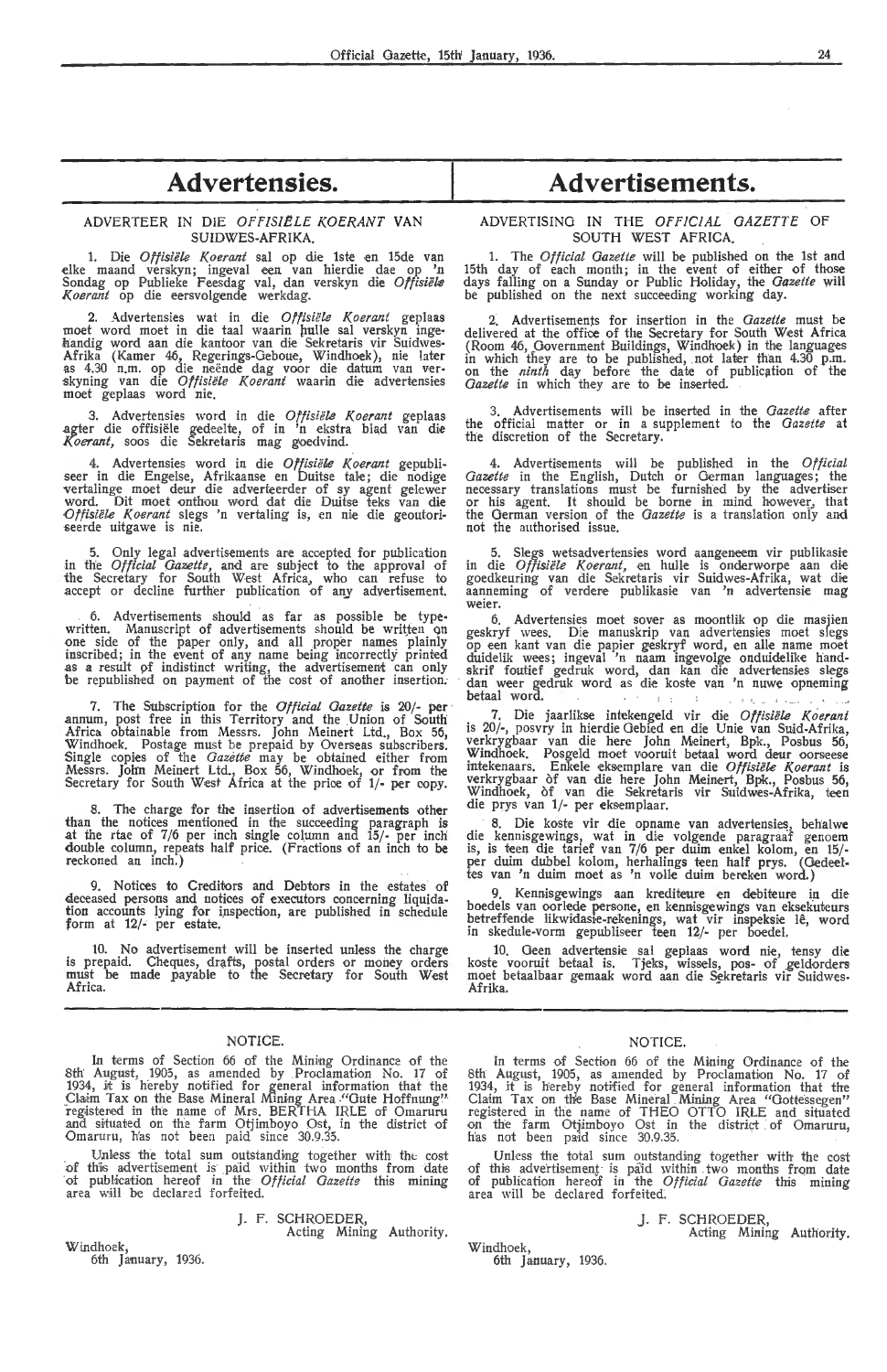## **Advertensies.**

#### ADVERTEER IN DIE *OFF!SIELE KOER.ANT* **VAN**  SUIDWES-AFRIKA.

1. Die *Offisiële Koerant* sal op die 1ste en 15de van elke maand verskyn; ingeval een van hierdie dae op 'n Sondag op Publieke Feesdag val, dan verskyn die *Offisiek K,oerant* op die eersvolgende werkdag.

2. Advertensies wat in die *Offisiële Koerant* geplaas moet word moet in die taal waarin pulle sal verskyn ingehandig word aan die kantoor van die Sekretaris vir Suidwes-Afrika (Kamer 46, Regerings-Geboue, Windhoek), nie later as 4.30 n.m. op die neende dag voor die datum van ver- skyning van die *Oftisiele K.oerant* waarin di,e adv-ertensies moet geplaas word nie.

3. Advertensies word in die *Offisiele Koerant* geplaas .agter die offisiele gedeelte, of in 'n ekstra blad van die *Koerant,* soos die Sekretaris mag goedvind.

4. Advertensies word in die *Offisiële Koerant* gepubli-<br>seer in die Engelse, Afrikaanse en Duitse tale; die nodige vertalinge moet deur die adverteerder of sy agent gelewer word. Dit moet onthou word dat die Duitse teks van die *Offisiële Koerant* slegs 'n vertaling is, en nie die geoutori-<br>seerde uitgawe is nie.

5. Only legal advertisements are accepted for publication in the *Official Oazette,* and are subject *to* the approval of the Secretary for South West Africa, who can refuse to accept or decline further publication of any advertisement.

6. Advertisements should as far as possible be typewritten. Manuscript of advertisements should be written on<br>one side of the paper only, and all proper names plainly inscribed; in the event of any name being Incorrectly printed as a result pf indistinct writing, the advertisement can only be republished on payment of the cost of another insertion.

7. The Subscription for the *Official Gazette* is 20/- per annum, post free in this Territory and the Union of South Africa obtainable from Messrs. John Meinert Ltd., Box 56, Windhoek. Postage must be prepaid by Overseas subscribers. Single copies of the *Gazette* may be obtained either from Messrs. Jolin Meinert Ltd., Box 56, Windhoek, or from the Secretary for South West Africa at the price of 1/- per copy.

The charge for the insertion of advertisements other than the notices mentioned in the sucoeeding paragraph is at the rtae of 7/6 per inch single column and 15/- per inch double column, repeats half prioe. (Fractions of an inch to be reckoned an inch.)

9. Notices to Creditors and Debtors in the estates of deceased persons and notices of executors concerning liquidation accounts lying for inspection, are published in schedule form at 12/- per estate.

10. No advertisement will be inserted unless the charge is prepaid. Cheques, drafts, postal orders or money orders must be made payable *to* the Secrdary for South West Africa.

#### NOTICE.

In terms of Section 66 of the Mining Ordinance of the 8th August, 1905, as amended by Proclamation No. 17 of 1934, it is hereby notified for general information that the Claim Tax on the Base Mineral Mining Area ."Gute Hoffnung" registered in the name of Mrs. BERTHA IRLE of Omaruru and situated on the farm Otjimboyo Ost, in the district of Omaruru, h'as not been paid since 30.9.35.

Unless the total sum outstanding together with the cost of this adve rtisement is· paid within two months from date ot publication hereof in the *Official Gazette* this mining area will be declared forfeited.

J. F. SCHROEDER,

Acting Mining Authority.

Windhoek, 6th January, 1936.

# **Advertisements.**

ADVERTISING IN THE *OFFICIAL GAZETTE* OF SOUTH WEST AFRICA.

**1.** The *Official Gazette* will be published on the 1st and 15th day of each month; in the event of either of those days falling on a Sunday or Public H-oliday, the *Gazette* wiH be published on the next succeeding working day.

2. Advertisements for insertion in the *Gazette* must be delivered at the office of the Secretary for South West Africa (Room 46, Government Buildings, Windhoek) in the languages<br>in which they are to be published, not later than 4.30 p.m.<br>on the *ninth* day before the date of publication of the *Gazette* in which they are *to* be inserted.

3. Advertisements will be inserted in the *Gazette* after the official matter or in a supplement *to* the *Gazette* at the discretion of the Secretary.

4. Advertisements will be published in the *Official Gazette* in the English, Dutch or German languages; the necessary translations must be furnished by the advertiser or his agent. It should be borne in mind however., that the Gernian version of the *Gazette* is a translation only and not the authorised issue.

5. Slegs wetsadvertensies word aangeneem vir publikasie<br>in die *Offisiële Koerant*, en hulle is onderworpe aan die goedkeuring van die Sekretaris vir Suidwes-Afrika, wat die<br>aanneming of verdere publikasie van 'n advertensie mag weier.

6. Advertensies moet sover as moontlik op die masjien geskryf wees. Die manuskrip van advertensies moet slegs op een kant van die papier geskryf word, en alle name moet duidelik wees; ingeval 'n naam ingevolge onduidelike handskrii' foutief gedruk word, dan kan die advertensies slegs dan weer gedruk word as die koste van 'n nuwe opneming betaal word.

7. Die jaarlikse intekengeld vir die Offisiële Koerant is 20/-, posvry in hierdie Gebied en die Unie van Suid-Afrika, verkrygbaar van die here John Meinert, Bpk., Posbus 56, Windhoek. Posgeld moet vooruit betaal word deur oorseese<br>intekenaars. Enkele eksemplare van die *Offisiële Koerant* is verkrygbaar of van die here John Meinert, Bpk., Posbus 56, Windhoek, of van die Sekretaris vir Suidwes-Afrika, teen die prys van 1/- per eksemplaar.

8. Die koste vir die opname van advertensies, behalwe die kennisgewings, wat in die volgende paragraaf genoem is, is teen die tarief van 7/6 per duim enkel kolom, en 15/ - per duim dubbel kolom, herhalings teen half prys. (Oedeeltes van 'n duim moet as 'n voile duim bereken word.)

9. Kennisgewings aan krediteure en debiteure in die boedels van oorlede persone, en kennisgewings van eksekuteurs<br>betreffende likwidasie-rekenings, wat vir inspeksie lê, word in skedule-vorm gepubliseer teen 12/- per boedel.

10. Geen advertensie sal geplaas word nie, tensy die<br>koste vooruit betaal is. Tjeks, wissels, pos- of geldorders moet betaalbaar gemaak word aan die Sekretaris vir Suidwes-Afrika.

#### NOTICE.

In terms of Section 66 of the Mining Ordinance of the 8th August, 1905, as amended by Proclamation No. 17 of 1934, it is hereby notified for general information that tire Claim Tax on the Base Mineral Mining Area "Gottessegen" registered in the name of THEO OTTO IRLE and situated on the farm Otjimboyo Ost in the district of Omaruru, has not been paid since 30.9.35.

Unless the total sum outstanding together with the cost of this advertisement is paid within two months from date of publication hereof in the *Official Gazette* this mining area will be declared forfeited.

> J. F. SCHROEDER, Acting Mining Authority.

Windhoek, 6th January, 1936.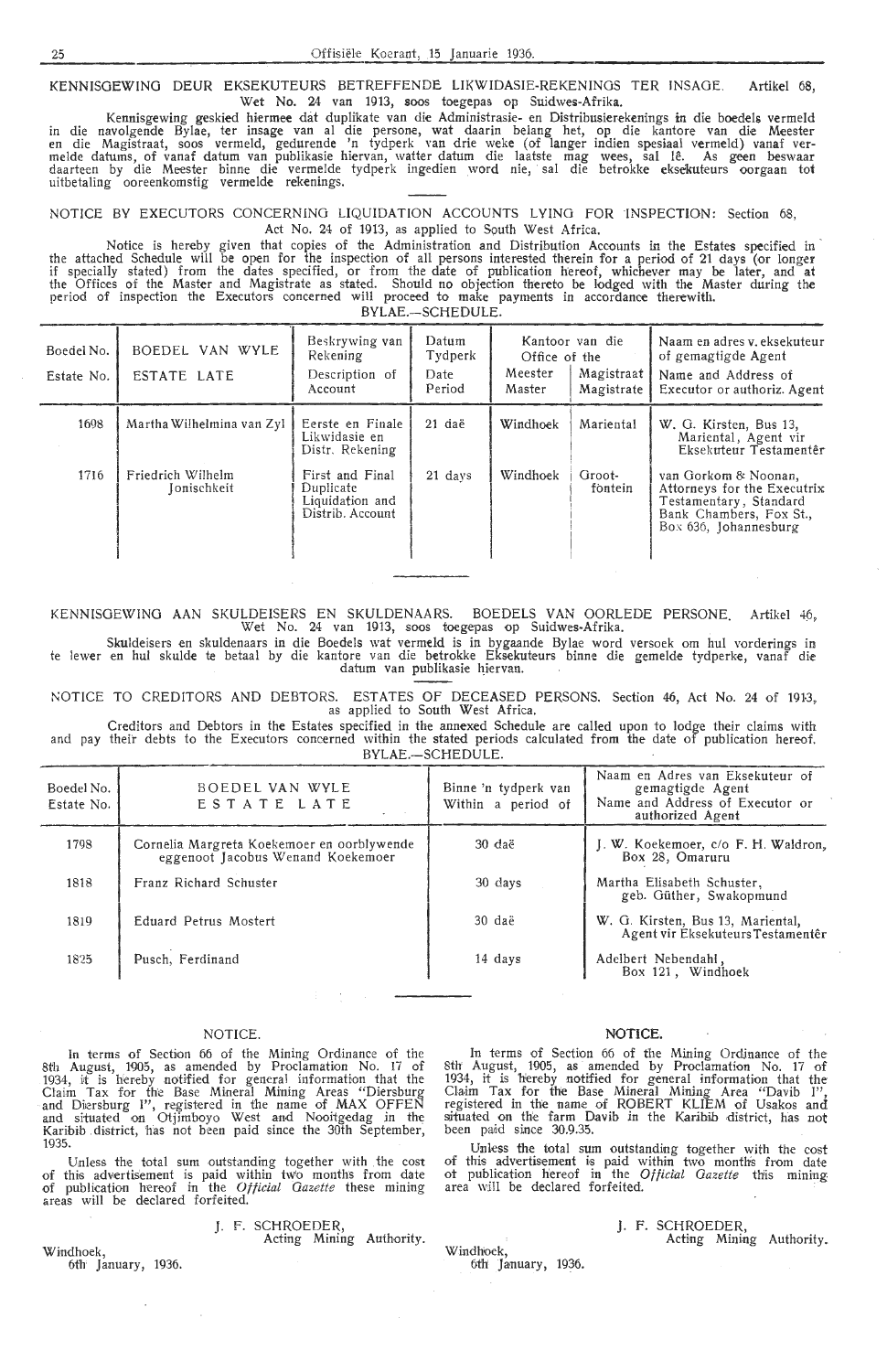KENNISOEWINO DEUR EKSEKUTEURS BETREFFENDE LIKWIDASIE-REKENINGS TER INSAGE. Artikel 68, Wet No. 24 van 1913, soos toegepas op Suidwes-Afrika.

Kennisgewing geskied hiermee dat duplikate van die Administrasie- en Distribusierekenings in die boedels vermeld in die navolgende Bylae, ter insage van al die persone, wat daarin belang het, op die kantore van die Meester<br>en die Magistraat, soos vermeld, gedurende 'n tydperk van drie weke (of langer indien spesiaal vermeld) vanaf<br>me daarteen by die Meester binne die vermelde tydperk ingedien word nie, sal die betrokk**e e**kse**ku**teurs oorgaan tot uitbetaling ooreenkomstig vermelde rekenings.

NOTICE BY EXECUTORS CONCERNING LIQUIDATION ACCOUNTS LYING FOR INSPECTION: Section 68, Act No. 24 of 1913, as applied to South West Africa.

Notice is hereby given that copies of the Administration and Distribution Accounts in the Estates specified in the attached Schedule will be open for the inspection of all persons interested therein for a period of 21 days (or longer if specially stated) from the dates specified, or from the date of publication hereof, whichever may be later, and at the Offices of the Master and Magistrate as stated. Should no objection thereto be lodged with the Master during the period of inspection the Executors concerned will proceed to make payments in accordance therewith. BYLAE.-SCHEDULE.

Boedel No. BOEDEL VAN WYLE Beskrywing van Datum Kantoor van die Naam en adres v. eksekuteur<br>Tydperk Office of the of gemagtigde Agent Estate No. ESTATE LATE Description of Date Meester Magistraat<br>Magistrate Name and Address of Executor or authoriz. Agent 1698 | Martha Wilhelmina van Zyl | Eerste en Finale | 21 daë | Windhoek | Mariental | W. G. Kirsten, Bus 13, Likwidasie en Mariental, Agent vir Distr. Rekening | Register | Reference | Eksekuteur Testamentêr 1716 Friedrich Wilhelm First and Final 21 days Windhoek Groot- van Gorkom & Noonan,<br>
Jonischkeit Duplicate Duplicate (fontein Attorneys for the Execu-J onischkeit Duplicate fontein Attorneys for the Executrix Liquidati-on and Testamentary, Standard Distrib. Account Bank Chambers, Fox St., I Box 636, Johannesburg I

KENNISOEWING AAN SKULDEISERS EN SKULDENAARS. BOEDELS VAN OORLEDE PERSONE. Artikel 46, Wet No. 24 van 1913, soos toegepas op Suidwes-Afrika.

Skuldeisers en skuldenaars in die Boedels wat vermeld is in bygaande Bylae word versoek om hul vorderings in te lewer en hul skulde te betaal by die kantore van die betrokke Eksekuteurs binne dice gemelde tydperke, vanaf die datum van publikasie hiervan. .

NOTICE TO CREDITORS AND DEBTORS. ESTATES OF DECEASED PERSONS. Section 46, Act No. 24 of 1913,<br>as applied to South West Africa.

Creditors and Debtors in the Estates specified in the annexed Schedule are called upon to lodge their claims with and pay their debts to the Executors concerned within the stated periods calculated from the date of publication hereof. BYLAE.-SCHEDULE.

| Boedel No.<br>Estate No. | BOEDEL VAN WYLE<br>ESTATE LATE                                                  | Binne 'n tydperk van<br>Within a period of | Naam en Adres van Eksekuteur of<br>gemagtigde Agent<br>Name and Address of Executor or<br>authorized Agent |
|--------------------------|---------------------------------------------------------------------------------|--------------------------------------------|------------------------------------------------------------------------------------------------------------|
| 1798                     | Cornelia Margreta Koekemoer en oorblywende<br>eggenoot Jacobus Wenand Koekemoer | 30 daë                                     | J. W. Koekemoer, c/o F. H. Waldron,<br>Box 28, Omaruru                                                     |
| 1818                     | Franz Richard Schuster                                                          | 30 days                                    | Martha Elisabeth Schuster,<br>geb. Güther, Swakopmund                                                      |
| 1819                     | Eduard Petrus Mostert                                                           | 30 daë                                     | W. G. Kirsten, Bus 13, Mariental,<br>Agent vir Eksekuteurs Testamentêr                                     |
| 1825                     | Pusch, Ferdinand                                                                | 14 days                                    | Adelbert Nebendahl,<br>Box 121, Windhoek                                                                   |

#### NOTICE.

1n terms of Section 66 of the Mining Ordinance of the 8th August, 1905, as amended by Proclamation No. 17 of 1934, it is hereby notified for general information that the Claim Tax for the Base Mineral Mining Areas "Diersburg and Diersburg I", registered in the name of MAX OFFEN and situated on Otjimboyo West and Nooiigedag in the Karibib district, has not been paid since the 30th September, 1935.

Unless the total sum outstanding together with the cost of this advertisement is paid within two months from date of publication hereof in the *Otticial Gazette* these mining areas will be declared forfeited.

#### J. F. SCHROEDER,

Acting Mining Authority.

Windhoek, 6th January, 1936.

#### **NOTICE.**

In terms of Section 66 of the Mining Ordinance of the 8th August, 1905, as amended by Proclamation No. 17 of 1934, it is hereby notified for general information that the Claim Tax for the Base Mineral Mining Area "Davib I", registered in the name of ROBERT KLIEM of Usakos and situated on the farm Davib in the Karibib district, has not been paid since 30.9.35.

Unless the total sum outstanding together with the cost of this advertisement is paid within two months from date ot publication hereof in the Official Gazette this mining area will be declared forfeited.

Windhoek, 6th' January, 1936. J. F. SCHROEDER, Acting Mining Authority.